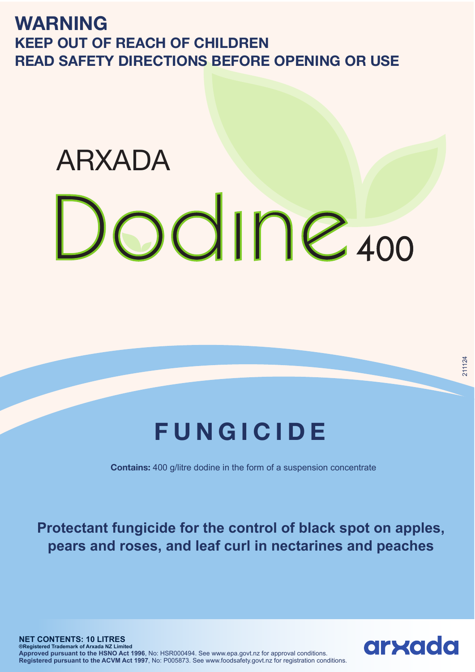**WARNING KEEP OUT OF REACH OF CHILDREN READ SAFETY DIRECTIONS BEFORE OPENING OR USE**

## ARXADAOdine 400

## **FUNGICIDE**

**Contains:** 400 g/litre dodine in the form of a suspension concentrate

**Protectant fungicide for the control of black spot on apples, pears and roses, and leaf curl in nectarines and peaches**

211124